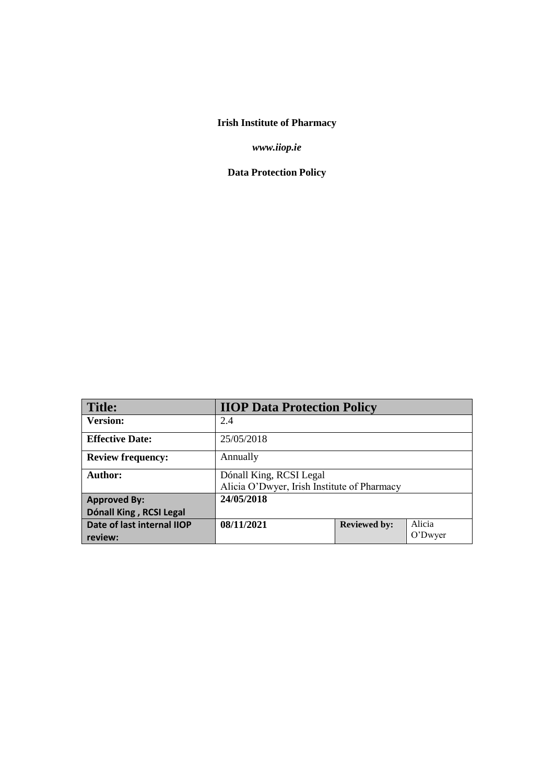# **Irish Institute of Pharmacy**

*www.iiop.ie*

**Data Protection Policy**

| <b>Title:</b>                         | <b>IIOP Data Protection Policy</b>                                     |                     |                   |
|---------------------------------------|------------------------------------------------------------------------|---------------------|-------------------|
| <b>Version:</b>                       | 2.4                                                                    |                     |                   |
| <b>Effective Date:</b>                | 25/05/2018                                                             |                     |                   |
| <b>Review frequency:</b>              | Annually                                                               |                     |                   |
| Author:                               | Dónall King, RCSI Legal<br>Alicia O'Dwyer, Irish Institute of Pharmacy |                     |                   |
| <b>Approved By:</b>                   | 24/05/2018                                                             |                     |                   |
| Dónall King, RCSI Legal               |                                                                        |                     |                   |
| Date of last internal IIOP<br>review: | 08/11/2021                                                             | <b>Reviewed by:</b> | Alicia<br>O'Dwyer |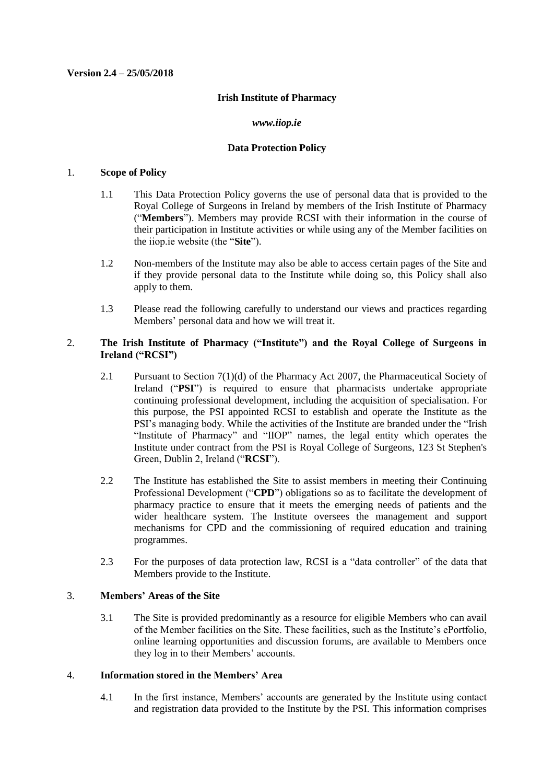#### **Version 2.4 – 25/05/2018**

#### **Irish Institute of Pharmacy**

#### *www.iiop.ie*

#### **Data Protection Policy**

#### 1. **Scope of Policy**

- 1.1 This Data Protection Policy governs the use of personal data that is provided to the Royal College of Surgeons in Ireland by members of the Irish Institute of Pharmacy ("**Members**"). Members may provide RCSI with their information in the course of their participation in Institute activities or while using any of the Member facilities on the iiop.ie website (the "**Site**").
- 1.2 Non-members of the Institute may also be able to access certain pages of the Site and if they provide personal data to the Institute while doing so, this Policy shall also apply to them.
- 1.3 Please read the following carefully to understand our views and practices regarding Members' personal data and how we will treat it.

# 2. **The Irish Institute of Pharmacy ("Institute") and the Royal College of Surgeons in Ireland ("RCSI")**

- 2.1 Pursuant to Section 7(1)(d) of the Pharmacy Act 2007, the Pharmaceutical Society of Ireland ("**PSI**") is required to ensure that pharmacists undertake appropriate continuing professional development, including the acquisition of specialisation. For this purpose, the PSI appointed RCSI to establish and operate the Institute as the PSI's managing body. While the activities of the Institute are branded under the "Irish "Institute of Pharmacy" and "IIOP" names, the legal entity which operates the Institute under contract from the PSI is Royal College of Surgeons, 123 St Stephen's Green, Dublin 2, Ireland ("**RCSI**").
- 2.2 The Institute has established the Site to assist members in meeting their Continuing Professional Development ("**CPD**") obligations so as to facilitate the development of pharmacy practice to ensure that it meets the emerging needs of patients and the wider healthcare system. The Institute oversees the management and support mechanisms for CPD and the commissioning of required education and training programmes.
- 2.3 For the purposes of data protection law, RCSI is a "data controller" of the data that Members provide to the Institute.

### 3. **Members' Areas of the Site**

3.1 The Site is provided predominantly as a resource for eligible Members who can avail of the Member facilities on the Site. These facilities, such as the Institute's ePortfolio, online learning opportunities and discussion forums, are available to Members once they log in to their Members' accounts.

#### 4. **Information stored in the Members' Area**

4.1 In the first instance, Members' accounts are generated by the Institute using contact and registration data provided to the Institute by the PSI. This information comprises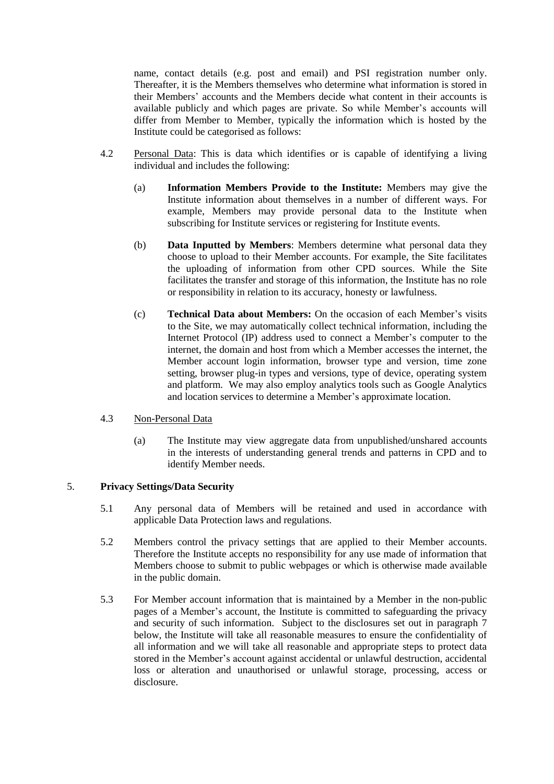name, contact details (e.g. post and email) and PSI registration number only. Thereafter, it is the Members themselves who determine what information is stored in their Members' accounts and the Members decide what content in their accounts is available publicly and which pages are private. So while Member's accounts will differ from Member to Member, typically the information which is hosted by the Institute could be categorised as follows:

- 4.2 Personal Data: This is data which identifies or is capable of identifying a living individual and includes the following:
	- (a) **Information Members Provide to the Institute:** Members may give the Institute information about themselves in a number of different ways. For example, Members may provide personal data to the Institute when subscribing for Institute services or registering for Institute events.
	- (b) **Data Inputted by Members**: Members determine what personal data they choose to upload to their Member accounts. For example, the Site facilitates the uploading of information from other CPD sources. While the Site facilitates the transfer and storage of this information, the Institute has no role or responsibility in relation to its accuracy, honesty or lawfulness.
	- (c) **Technical Data about Members:** On the occasion of each Member's visits to the Site, we may automatically collect technical information, including the Internet Protocol (IP) address used to connect a Member's computer to the internet, the domain and host from which a Member accesses the internet, the Member account login information, browser type and version, time zone setting, browser plug-in types and versions, type of device, operating system and platform. We may also employ analytics tools such as Google Analytics and location services to determine a Member's approximate location.
- 4.3 Non-Personal Data
	- (a) The Institute may view aggregate data from unpublished/unshared accounts in the interests of understanding general trends and patterns in CPD and to identify Member needs.

### 5. **Privacy Settings/Data Security**

- 5.1 Any personal data of Members will be retained and used in accordance with applicable Data Protection laws and regulations.
- 5.2 Members control the privacy settings that are applied to their Member accounts. Therefore the Institute accepts no responsibility for any use made of information that Members choose to submit to public webpages or which is otherwise made available in the public domain.
- 5.3 For Member account information that is maintained by a Member in the non-public pages of a Member's account, the Institute is committed to safeguarding the privacy and security of such information. Subject to the disclosures set out in paragraph [7](#page-3-0) below, the Institute will take all reasonable measures to ensure the confidentiality of all information and we will take all reasonable and appropriate steps to protect data stored in the Member's account against accidental or unlawful destruction, accidental loss or alteration and unauthorised or unlawful storage, processing, access or disclosure.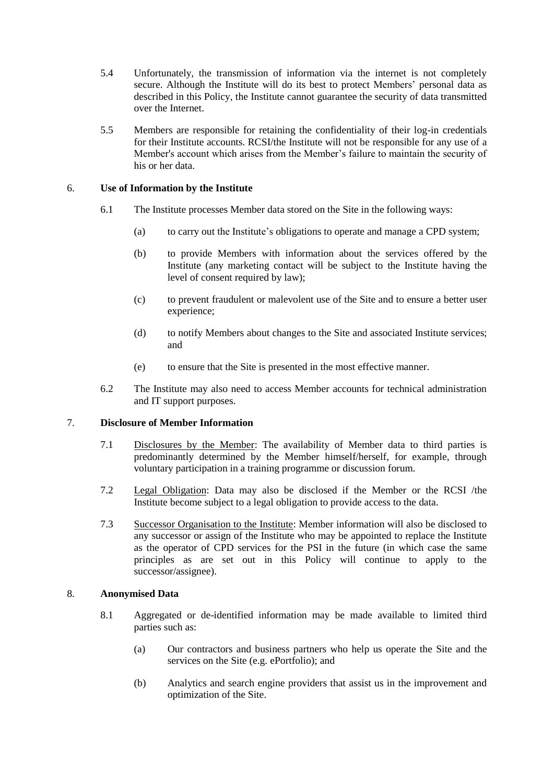- 5.4 Unfortunately, the transmission of information via the internet is not completely secure. Although the Institute will do its best to protect Members' personal data as described in this Policy, the Institute cannot guarantee the security of data transmitted over the Internet.
- 5.5 Members are responsible for retaining the confidentiality of their log-in credentials for their Institute accounts. RCSI/the Institute will not be responsible for any use of a Member's account which arises from the Member's failure to maintain the security of his or her data.

# 6. **Use of Information by the Institute**

- 6.1 The Institute processes Member data stored on the Site in the following ways:
	- (a) to carry out the Institute's obligations to operate and manage a CPD system;
	- (b) to provide Members with information about the services offered by the Institute (any marketing contact will be subject to the Institute having the level of consent required by law);
	- (c) to prevent fraudulent or malevolent use of the Site and to ensure a better user experience;
	- (d) to notify Members about changes to the Site and associated Institute services; and
	- (e) to ensure that the Site is presented in the most effective manner.
- 6.2 The Institute may also need to access Member accounts for technical administration and IT support purposes.

# <span id="page-3-0"></span>7. **Disclosure of Member Information**

- 7.1 Disclosures by the Member: The availability of Member data to third parties is predominantly determined by the Member himself/herself, for example, through voluntary participation in a training programme or discussion forum.
- 7.2 Legal Obligation: Data may also be disclosed if the Member or the RCSI /the Institute become subject to a legal obligation to provide access to the data.
- 7.3 Successor Organisation to the Institute: Member information will also be disclosed to any successor or assign of the Institute who may be appointed to replace the Institute as the operator of CPD services for the PSI in the future (in which case the same principles as are set out in this Policy will continue to apply to the successor/assignee).

### 8. **Anonymised Data**

- 8.1 Aggregated or de-identified information may be made available to limited third parties such as:
	- (a) Our contractors and business partners who help us operate the Site and the services on the Site (e.g. ePortfolio); and
	- (b) Analytics and search engine providers that assist us in the improvement and optimization of the Site.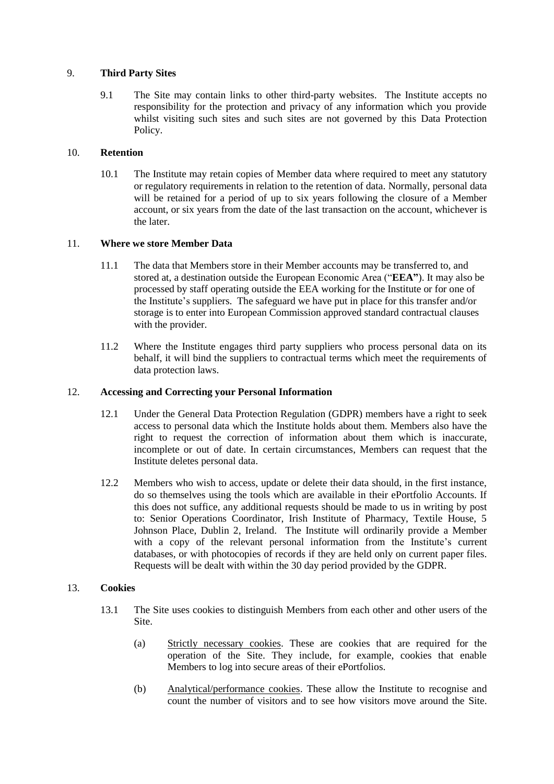# 9. **Third Party Sites**

9.1 The Site may contain links to other third-party websites. The Institute accepts no responsibility for the protection and privacy of any information which you provide whilst visiting such sites and such sites are not governed by this Data Protection Policy.

# 10. **Retention**

10.1 The Institute may retain copies of Member data where required to meet any statutory or regulatory requirements in relation to the retention of data. Normally, personal data will be retained for a period of up to six years following the closure of a Member account, or six years from the date of the last transaction on the account, whichever is the later.

# 11. **Where we store Member Data**

- 11.1 The data that Members store in their Member accounts may be transferred to, and stored at, a destination outside the European Economic Area ("**EEA"**). It may also be processed by staff operating outside the EEA working for the Institute or for one of the Institute's suppliers. The safeguard we have put in place for this transfer and/or storage is to enter into European Commission approved standard contractual clauses with the provider.
- 11.2 Where the Institute engages third party suppliers who process personal data on its behalf, it will bind the suppliers to contractual terms which meet the requirements of data protection laws.

# 12. **Accessing and Correcting your Personal Information**

- 12.1 Under the General Data Protection Regulation (GDPR) members have a right to seek access to personal data which the Institute holds about them. Members also have the right to request the correction of information about them which is inaccurate, incomplete or out of date. In certain circumstances, Members can request that the Institute deletes personal data.
- 12.2 Members who wish to access, update or delete their data should, in the first instance, do so themselves using the tools which are available in their ePortfolio Accounts. If this does not suffice, any additional requests should be made to us in writing by post to: Senior Operations Coordinator, Irish Institute of Pharmacy, Textile House, 5 Johnson Place, Dublin 2, Ireland. The Institute will ordinarily provide a Member with a copy of the relevant personal information from the Institute's current databases, or with photocopies of records if they are held only on current paper files. Requests will be dealt with within the 30 day period provided by the GDPR.

### 13. **Cookies**

- 13.1 The Site uses cookies to distinguish Members from each other and other users of the Site.
	- (a) Strictly necessary cookies. These are cookies that are required for the operation of the Site. They include, for example, cookies that enable Members to log into secure areas of their ePortfolios.
	- (b) Analytical/performance cookies. These allow the Institute to recognise and count the number of visitors and to see how visitors move around the Site.